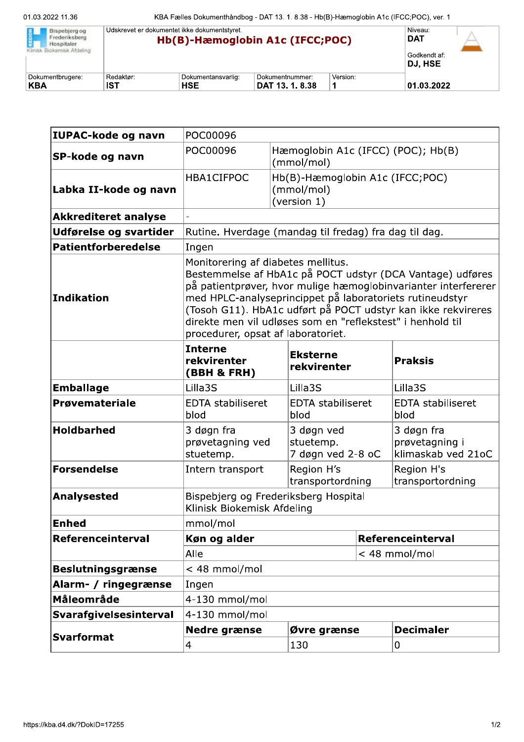| Bispebierg og<br>Frederiksberg<br>Hospitaler.<br>Klinisk Biokemisk Afdeling | Udskrevet er dokumentet ikke dokumentstyret.<br><b>DAT</b><br>Hb(B)-Hæmoglobin A1c (IFCC;POC)<br>DJ. HSE |                    |                 |          |            |  |
|-----------------------------------------------------------------------------|----------------------------------------------------------------------------------------------------------|--------------------|-----------------|----------|------------|--|
| Dokumentbrugere:                                                            | Redaktør:                                                                                                | Dokumentansvarlig: | Dokumentnummer: | Version: |            |  |
| <b>KBA</b>                                                                  | <b>IST</b>                                                                                               | <b>HSE</b>         | DAT 13, 1, 8,38 |          | 01.03.2022 |  |

| IUPAC-kode og navn          | POC00096                                                                                                                                                                                                                                                                                                                                                                                          |             |                                                              |                   |                                                    |  |
|-----------------------------|---------------------------------------------------------------------------------------------------------------------------------------------------------------------------------------------------------------------------------------------------------------------------------------------------------------------------------------------------------------------------------------------------|-------------|--------------------------------------------------------------|-------------------|----------------------------------------------------|--|
| SP-kode og navn             | POC00096<br>Hæmoglobin A1c (IFCC) (POC); Hb(B)<br>(mmol/mol)                                                                                                                                                                                                                                                                                                                                      |             |                                                              |                   |                                                    |  |
| Labka II-kode og navn       | HBA1CIFPOC                                                                                                                                                                                                                                                                                                                                                                                        |             | Hb(B)-Hæmoglobin A1c (IFCC;POC)<br>(mmol/mol)<br>(version 1) |                   |                                                    |  |
| <b>Akkrediteret analyse</b> |                                                                                                                                                                                                                                                                                                                                                                                                   |             |                                                              |                   |                                                    |  |
| Udførelse og svartider      | Rutine. Hverdage (mandag til fredag) fra dag til dag.                                                                                                                                                                                                                                                                                                                                             |             |                                                              |                   |                                                    |  |
| <b>Patientforberedelse</b>  | Ingen                                                                                                                                                                                                                                                                                                                                                                                             |             |                                                              |                   |                                                    |  |
| Indikation                  | Monitorering af diabetes mellitus.<br>Bestemmelse af HbA1c på POCT udstyr (DCA Vantage) udføres<br>på patientprøver, hvor mulige hæmoglobinvarianter interfererer<br>med HPLC-analyseprincippet på laboratoriets rutineudstyr<br>(Tosoh G11). HbA1c udført på POCT udstyr kan ikke rekvireres<br>direkte men vil udløses som en "reflekstest" i henhold til<br>procedurer, opsat af laboratoriet. |             |                                                              |                   |                                                    |  |
|                             | <b>Interne</b><br>rekvirenter<br>(BBH & FRH)                                                                                                                                                                                                                                                                                                                                                      |             | <b>Eksterne</b><br>rekvirenter                               |                   | <b>Praksis</b>                                     |  |
| <b>Emballage</b>            | Lilla3S                                                                                                                                                                                                                                                                                                                                                                                           |             | Lilla3S                                                      |                   | Lilla3S                                            |  |
| Prøvemateriale              | <b>EDTA stabiliseret</b><br>blod                                                                                                                                                                                                                                                                                                                                                                  |             | <b>EDTA stabiliseret</b><br>blod                             |                   | <b>EDTA stabiliseret</b><br>blod                   |  |
| <b>Holdbarhed</b>           | 3 døgn fra<br>prøvetagning ved<br>stuetemp.                                                                                                                                                                                                                                                                                                                                                       |             | 3 døgn ved<br>stuetemp.<br>7 døgn ved 2-8 oC                 |                   | 3 døgn fra<br>prøvetagning i<br>klimaskab ved 21oC |  |
| Forsendelse                 | Intern transport                                                                                                                                                                                                                                                                                                                                                                                  |             | Region H's<br>transportordning                               |                   | Region H's<br>transportordning                     |  |
| <b>Analysested</b>          | Bispebjerg og Frederiksberg Hospital<br>Klinisk Biokemisk Afdeling                                                                                                                                                                                                                                                                                                                                |             |                                                              |                   |                                                    |  |
| <b>Enhed</b>                | mmol/mol                                                                                                                                                                                                                                                                                                                                                                                          |             |                                                              |                   |                                                    |  |
| Referenceinterval           | Køn og alder                                                                                                                                                                                                                                                                                                                                                                                      |             |                                                              | Referenceinterval |                                                    |  |
|                             | Alle                                                                                                                                                                                                                                                                                                                                                                                              |             |                                                              | < 48 mmol/mol     |                                                    |  |
| <b>Beslutningsgrænse</b>    | < 48 mmol/mol                                                                                                                                                                                                                                                                                                                                                                                     |             |                                                              |                   |                                                    |  |
| Alarm- / ringegrænse        | Ingen                                                                                                                                                                                                                                                                                                                                                                                             |             |                                                              |                   |                                                    |  |
| Måleområde                  | 4-130 mmol/mol                                                                                                                                                                                                                                                                                                                                                                                    |             |                                                              |                   |                                                    |  |
| Svarafgivelsesinterval      | 4-130 mmol/mol                                                                                                                                                                                                                                                                                                                                                                                    |             |                                                              |                   |                                                    |  |
| <b>Svarformat</b>           | <b>Nedre grænse</b>                                                                                                                                                                                                                                                                                                                                                                               | Øvre grænse |                                                              |                   | <b>Decimaler</b>                                   |  |
|                             | 4                                                                                                                                                                                                                                                                                                                                                                                                 |             | 130                                                          |                   | 0                                                  |  |